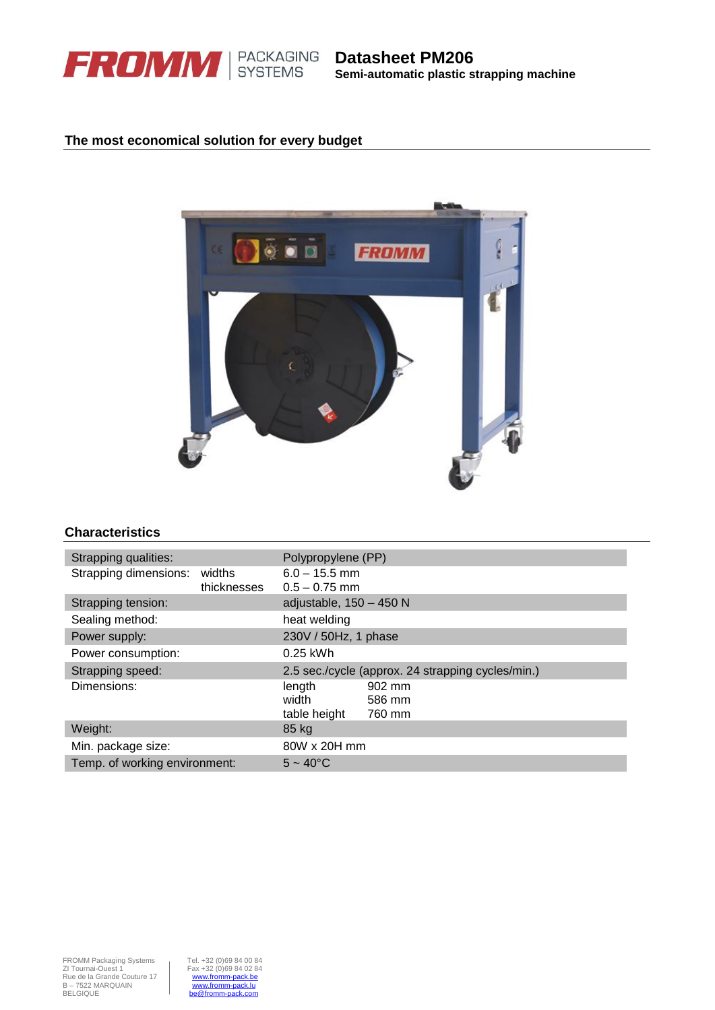

**Datasheet PM206 Semi-automatic plastic strapping machine**

## **The most economical solution for every budget**



## **Characteristics**

| Strapping qualities:          |             | Polypropylene (PP)                                |        |  |
|-------------------------------|-------------|---------------------------------------------------|--------|--|
| Strapping dimensions:         | widths      | $6.0 - 15.5$ mm                                   |        |  |
|                               | thicknesses | $0.5 - 0.75$ mm                                   |        |  |
| Strapping tension:            |             | adjustable, 150 - 450 N                           |        |  |
| Sealing method:               |             | heat welding                                      |        |  |
| Power supply:                 |             | 230V / 50Hz, 1 phase                              |        |  |
| Power consumption:            |             | $0.25$ kWh                                        |        |  |
| Strapping speed:              |             | 2.5 sec./cycle (approx. 24 strapping cycles/min.) |        |  |
| Dimensions:                   |             | length                                            | 902 mm |  |
|                               |             | width                                             | 586 mm |  |
|                               |             | table height                                      | 760 mm |  |
| Weight:                       |             | 85 kg                                             |        |  |
| Min. package size:            |             | 80W x 20H mm                                      |        |  |
| Temp. of working environment: |             | $5 - 40^{\circ}C$                                 |        |  |